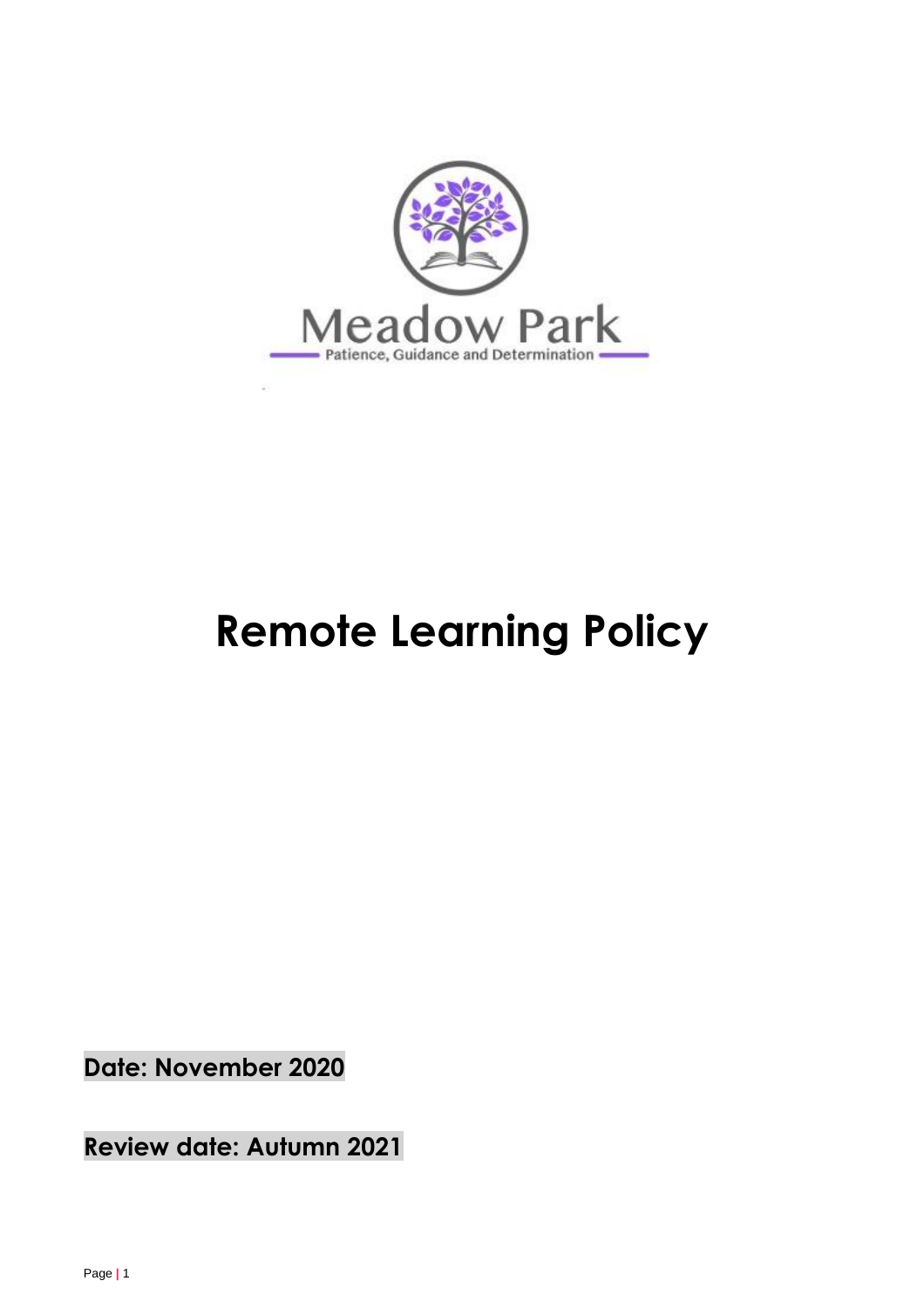

# **Remote Learning Policy**

**Date: November 2020**

**Review date: Autumn 2021**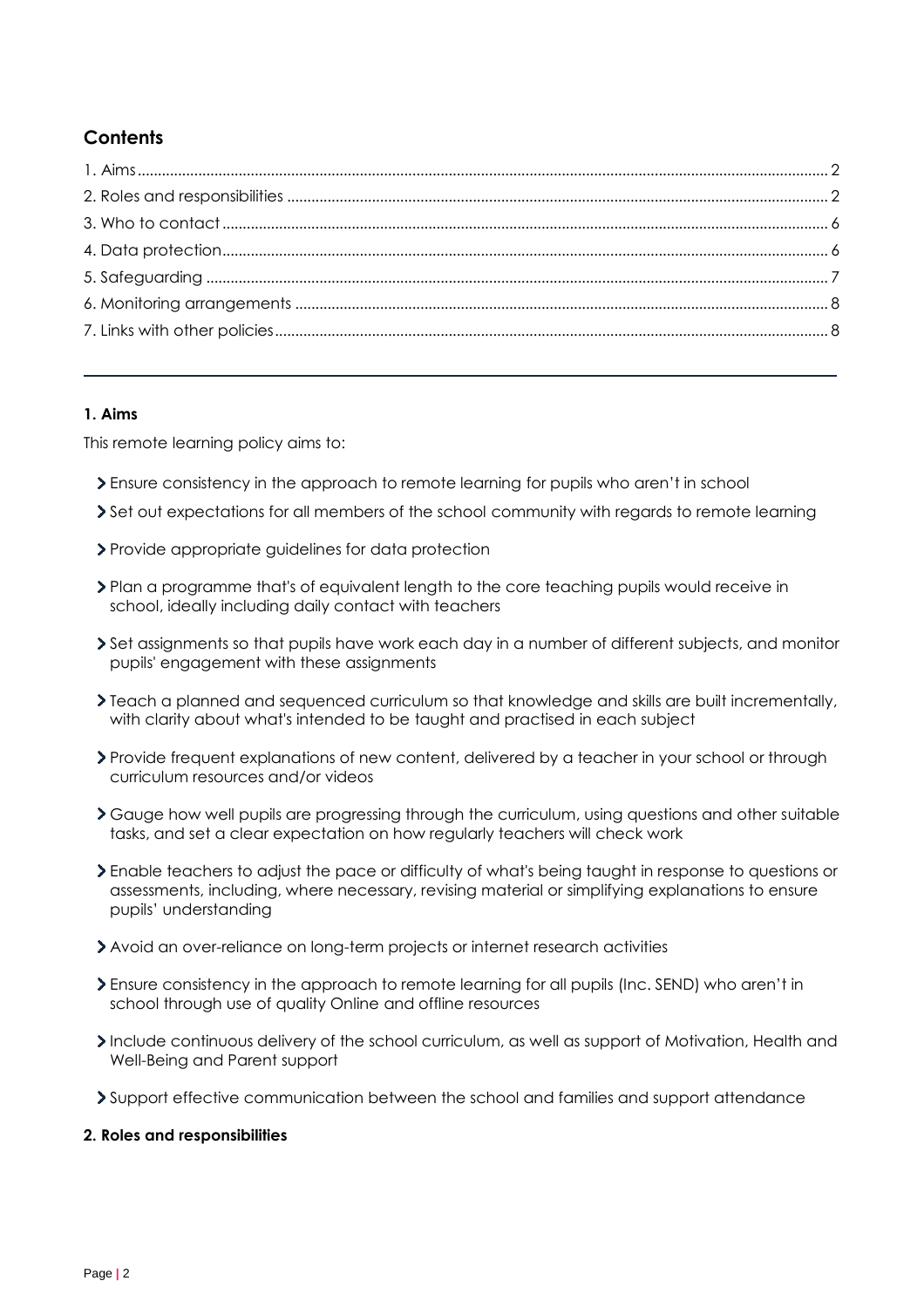# **Contents**

# <span id="page-1-0"></span>**1. Aims**

This remote learning policy aims to:

- Ensure consistency in the approach to remote learning for pupils who aren't in school
- Set out expectations for all members of the school community with regards to remote learning
- Provide appropriate guidelines for data protection
- Plan a programme that's of equivalent length to the core teaching pupils would receive in school, ideally including daily contact with teachers
- Set assignments so that pupils have work each day in a number of different subjects, and monitor pupils' engagement with these assignments
- Teach a planned and sequenced curriculum so that knowledge and skills are built incrementally, with clarity about what's intended to be taught and practised in each subject
- Provide frequent explanations of new content, delivered by a teacher in your school or through curriculum resources and/or videos
- Gauge how well pupils are progressing through the curriculum, using questions and other suitable tasks, and set a clear expectation on how regularly teachers will check work
- Enable teachers to adjust the pace or difficulty of what's being taught in response to questions or assessments, including, where necessary, revising material or simplifying explanations to ensure pupils' understanding
- Avoid an over-reliance on long-term projects or internet research activities
- Ensure consistency in the approach to remote learning for all pupils (Inc. SEND) who aren't in school through use of quality Online and offline resources
- Include continuous delivery of the school curriculum, as well as support of Motivation, Health and Well-Being and Parent support
- Support effective communication between the school and families and support attendance

### <span id="page-1-1"></span>**2. Roles and responsibilities**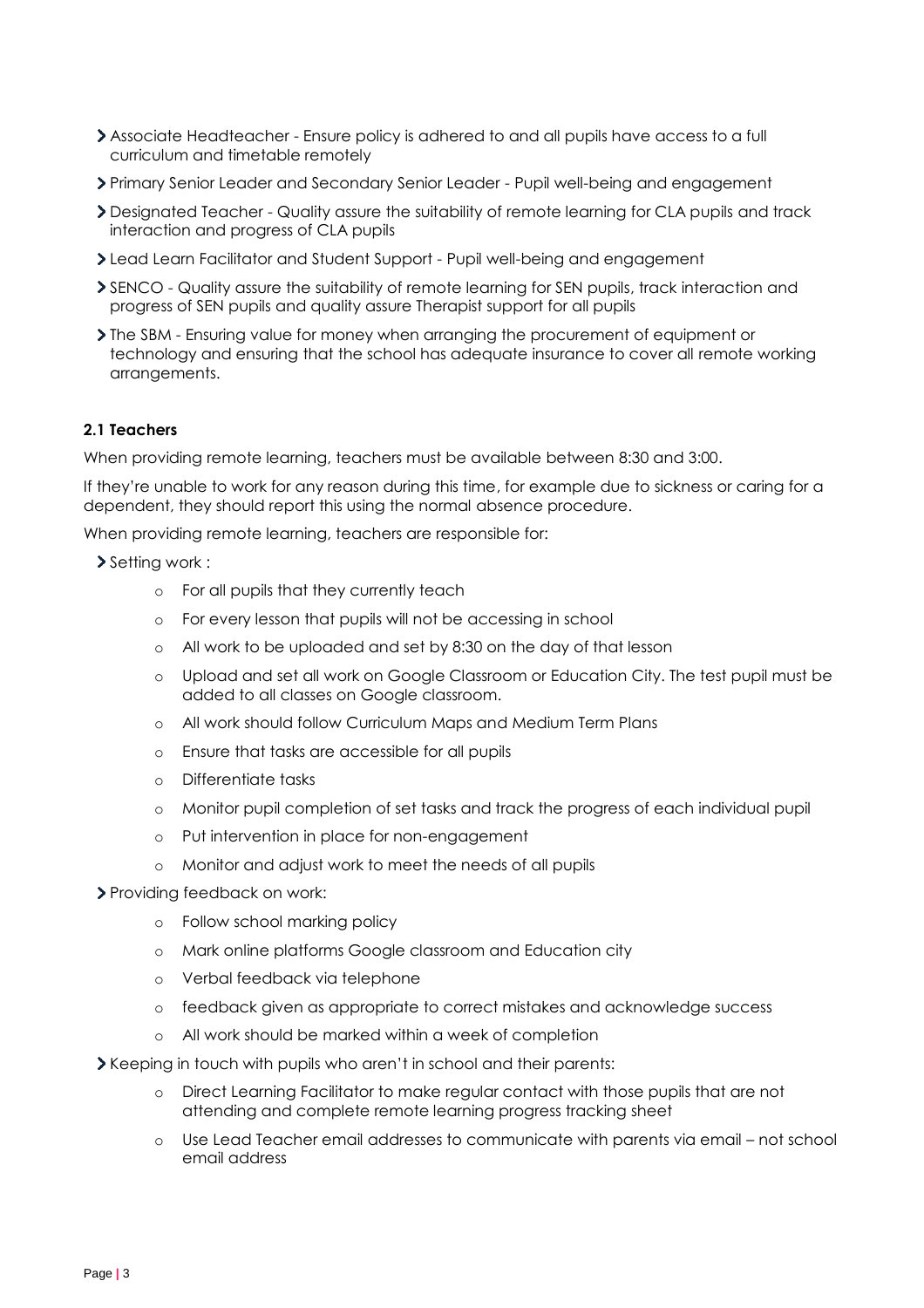- Associate Headteacher Ensure policy is adhered to and all pupils have access to a full curriculum and timetable remotely
- Primary Senior Leader and Secondary Senior Leader Pupil well-being and engagement
- Designated Teacher Quality assure the suitability of remote learning for CLA pupils and track interaction and progress of CLA pupils
- Lead Learn Facilitator and Student Support Pupil well-being and engagement
- SENCO Quality assure the suitability of remote learning for SEN pupils, track interaction and progress of SEN pupils and quality assure Therapist support for all pupils
- The SBM Ensuring value for money when arranging the procurement of equipment or technology and ensuring that the school has adequate insurance to cover all remote working arrangements.

### **2.1 Teachers**

When providing remote learning, teachers must be available between 8:30 and 3:00.

If they're unable to work for any reason during this time, for example due to sickness or caring for a dependent, they should report this using the normal absence procedure.

When providing remote learning, teachers are responsible for:

- Setting work :
	- o For all pupils that they currently teach
	- o For every lesson that pupils will not be accessing in school
	- o All work to be uploaded and set by 8:30 on the day of that lesson
	- o Upload and set all work on Google Classroom or Education City. The test pupil must be added to all classes on Google classroom.
	- o All work should follow Curriculum Maps and Medium Term Plans
	- o Ensure that tasks are accessible for all pupils
	- o Differentiate tasks
	- o Monitor pupil completion of set tasks and track the progress of each individual pupil
	- o Put intervention in place for non-engagement
	- o Monitor and adjust work to meet the needs of all pupils
- > Providing feedback on work:
	- o Follow school marking policy
	- o Mark online platforms Google classroom and Education city
	- o Verbal feedback via telephone
	- o feedback given as appropriate to correct mistakes and acknowledge success
	- o All work should be marked within a week of completion
- $\geq$  Keeping in touch with pupils who aren't in school and their parents:
	- o Direct Learning Facilitator to make regular contact with those pupils that are not attending and complete remote learning progress tracking sheet
	- o Use Lead Teacher email addresses to communicate with parents via email not school email address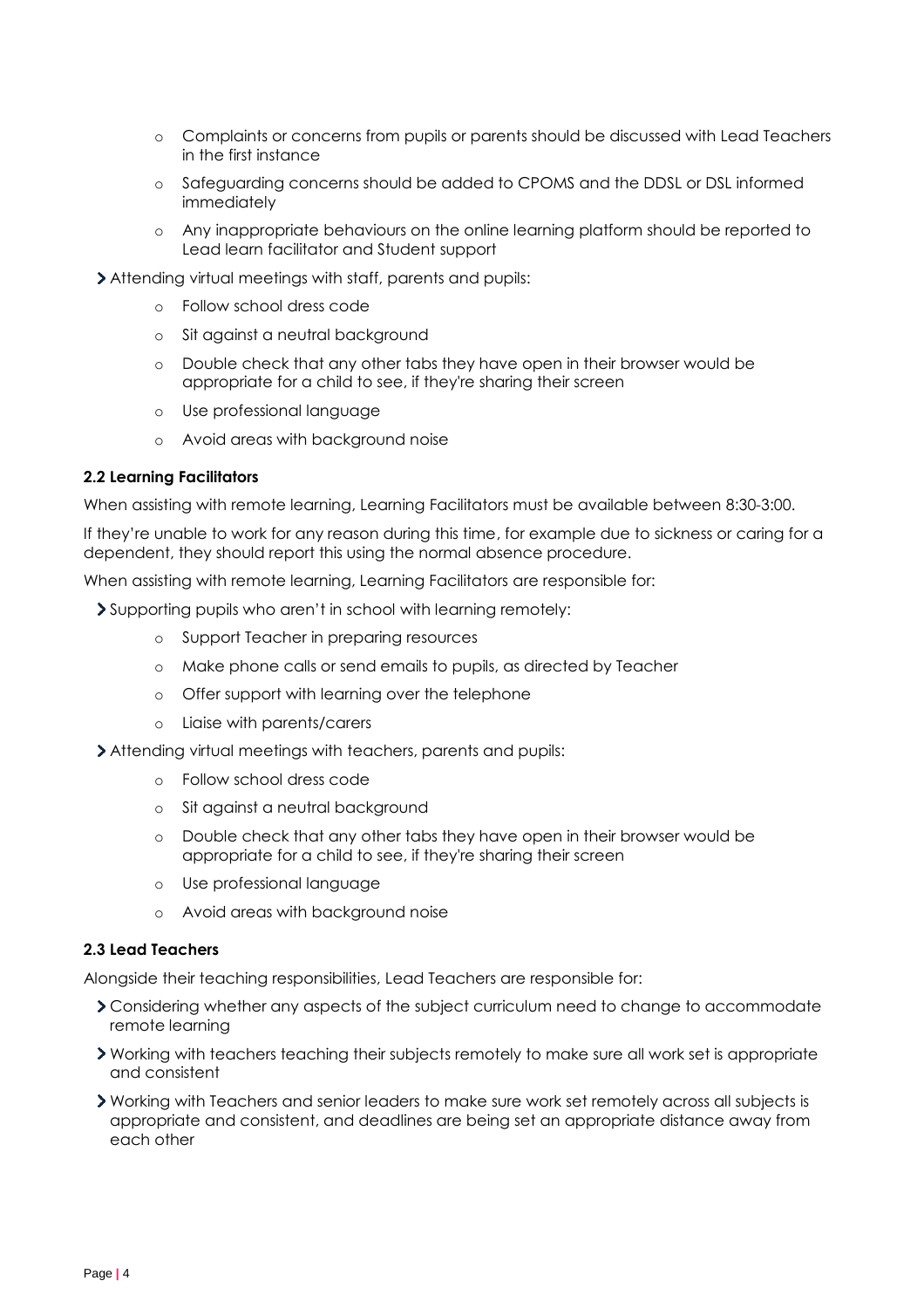- o Complaints or concerns from pupils or parents should be discussed with Lead Teachers in the first instance
- o Safeguarding concerns should be added to CPOMS and the DDSL or DSL informed immediately
- o Any inappropriate behaviours on the online learning platform should be reported to Lead learn facilitator and Student support
- Attending virtual meetings with staff, parents and pupils:
	- o Follow school dress code
	- o Sit against a neutral background
	- o Double check that any other tabs they have open in their browser would be appropriate for a child to see, if they're sharing their screen
	- o Use professional language
	- o Avoid areas with background noise

#### **2.2 Learning Facilitators**

When assisting with remote learning, Learning Facilitators must be available between 8:30-3:00.

If they're unable to work for any reason during this time, for example due to sickness or caring for a dependent, they should report this using the normal absence procedure.

When assisting with remote learning, Learning Facilitators are responsible for:

- Supporting pupils who aren't in school with learning remotely:
	- o Support Teacher in preparing resources
	- o Make phone calls or send emails to pupils, as directed by Teacher
	- o Offer support with learning over the telephone
	- o Liaise with parents/carers
- Attending virtual meetings with teachers, parents and pupils:
	- o Follow school dress code
	- o Sit against a neutral background
	- o Double check that any other tabs they have open in their browser would be appropriate for a child to see, if they're sharing their screen
	- o Use professional language
	- o Avoid areas with background noise

## **2.3 Lead Teachers**

Alongside their teaching responsibilities, Lead Teachers are responsible for:

- Considering whether any aspects of the subject curriculum need to change to accommodate remote learning
- Working with teachers teaching their subjects remotely to make sure all work set is appropriate and consistent
- Working with Teachers and senior leaders to make sure work set remotely across all subjects is appropriate and consistent, and deadlines are being set an appropriate distance away from each other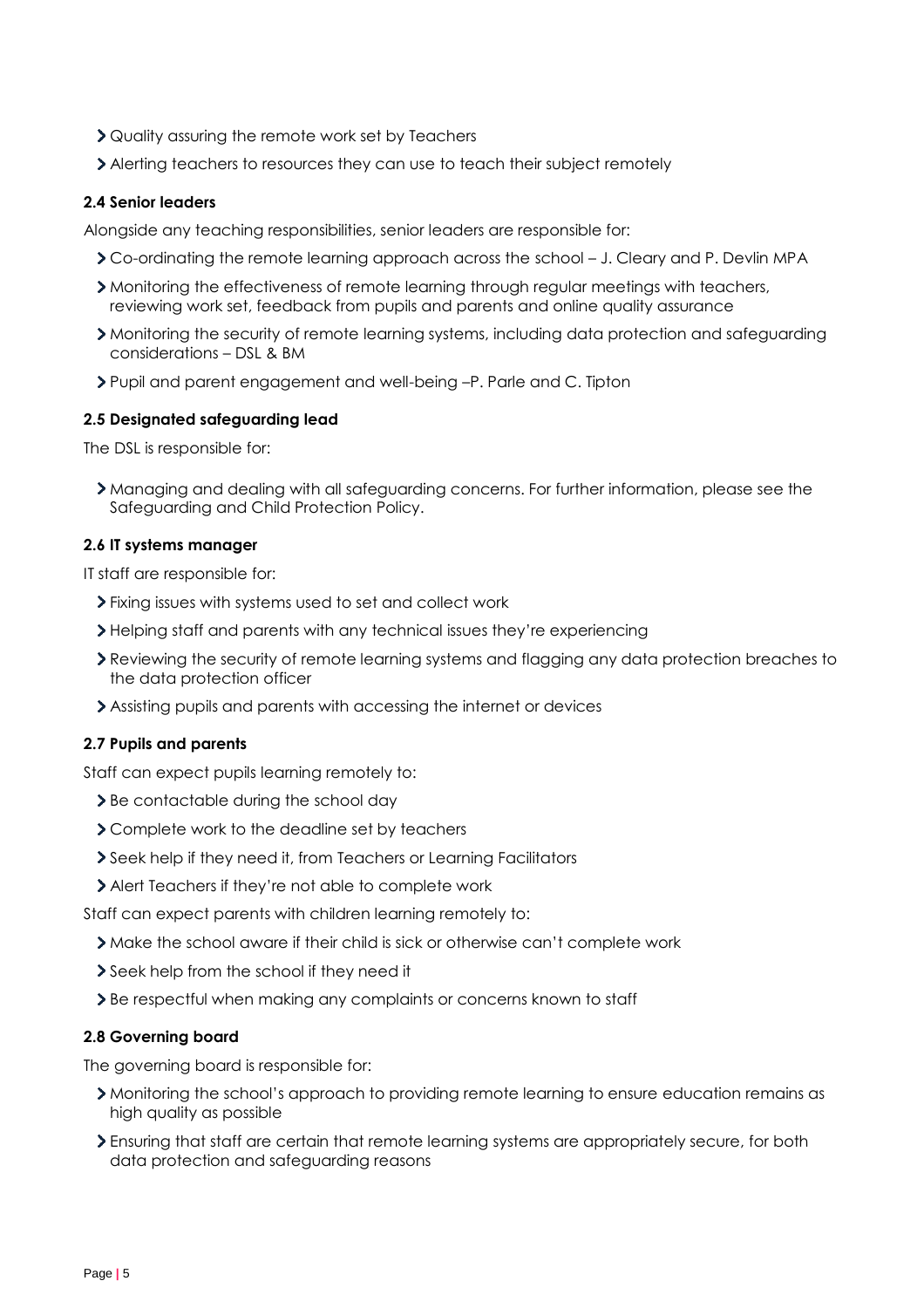- Quality assuring the remote work set by Teachers
- Alerting teachers to resources they can use to teach their subject remotely

## **2.4 Senior leaders**

Alongside any teaching responsibilities, senior leaders are responsible for:

- Co-ordinating the remote learning approach across the school J. Cleary and P. Devlin MPA
- Monitoring the effectiveness of remote learning through regular meetings with teachers, reviewing work set, feedback from pupils and parents and online quality assurance
- Monitoring the security of remote learning systems, including data protection and safeguarding considerations – DSL & BM
- Pupil and parent engagement and well-being –P. Parle and C. Tipton

# **2.5 Designated safeguarding lead**

The DSL is responsible for:

Managing and dealing with all safeguarding concerns. For further information, please see the Safeguarding and Child Protection Policy.

# **2.6 IT systems manager**

IT staff are responsible for:

- Fixing issues with systems used to set and collect work
- Helping staff and parents with any technical issues they're experiencing
- Reviewing the security of remote learning systems and flagging any data protection breaches to the data protection officer
- Assisting pupils and parents with accessing the internet or devices

# **2.7 Pupils and parents**

Staff can expect pupils learning remotely to:

- > Be contactable during the school day
- Complete work to the deadline set by teachers
- Seek help if they need it, from Teachers or Learning Facilitators
- Alert Teachers if they're not able to complete work

Staff can expect parents with children learning remotely to:

- Make the school aware if their child is sick or otherwise can't complete work
- Seek help from the school if they need it
- Be respectful when making any complaints or concerns known to staff

# **2.8 Governing board**

The governing board is responsible for:

- Monitoring the school's approach to providing remote learning to ensure education remains as high quality as possible
- Ensuring that staff are certain that remote learning systems are appropriately secure, for both data protection and safeguarding reasons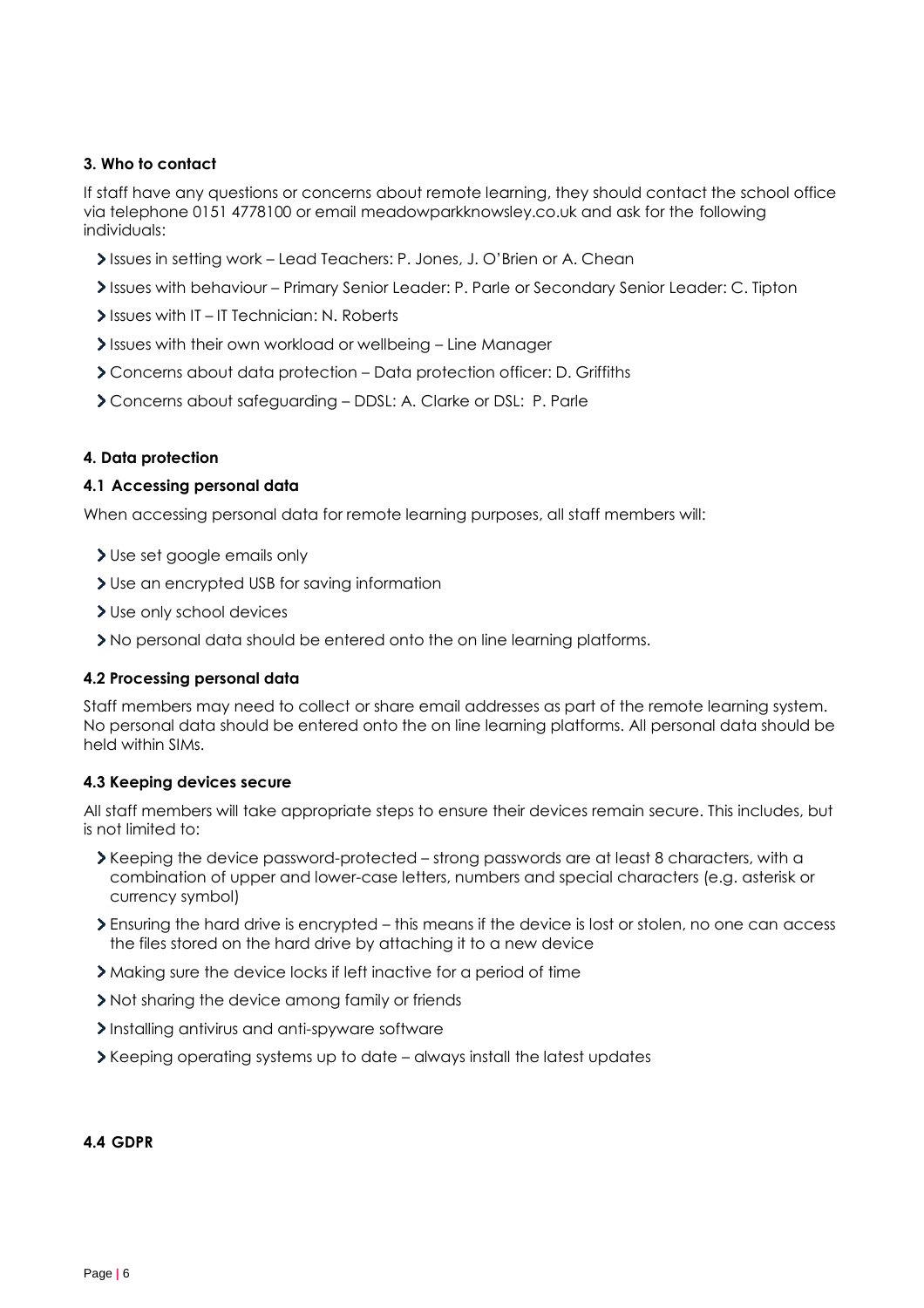# <span id="page-5-0"></span>**3. Who to contact**

If staff have any questions or concerns about remote learning, they should contact the school office via telephone 0151 4778100 or email meadowparkknowsley.co.uk and ask for the following individuals:

- Issues in setting work Lead Teachers: P. Jones, J. O'Brien or A. Chean
- Issues with behaviour Primary Senior Leader: P. Parle or Secondary Senior Leader: C. Tipton
- Issues with IT-IT Technician: N. Roberts
- Issues with their own workload or wellbeing Line Manager
- Concerns about data protection Data protection officer: D. Griffiths
- Concerns about safeguarding DDSL: A. Clarke or DSL: P. Parle

# <span id="page-5-1"></span>**4. Data protection**

# **4.1 Accessing personal data**

When accessing personal data for remote learning purposes, all staff members will:

- Use set google emails only
- Use an encrypted USB for saving information
- > Use only school devices
- No personal data should be entered onto the on line learning platforms.

### **4.2 Processing personal data**

Staff members may need to collect or share email addresses as part of the remote learning system. No personal data should be entered onto the on line learning platforms. All personal data should be held within SIMs.

### **4.3 Keeping devices secure**

All staff members will take appropriate steps to ensure their devices remain secure. This includes, but is not limited to:

- Keeping the device password-protected strong passwords are at least 8 characters, with a combination of upper and lower-case letters, numbers and special characters (e.g. asterisk or currency symbol)
- Ensuring the hard drive is encrypted this means if the device is lost or stolen, no one can access the files stored on the hard drive by attaching it to a new device
- Making sure the device locks if left inactive for a period of time
- If Not sharing the device among family or friends
- Installing antivirus and anti-spyware software
- Keeping operating systems up to date always install the latest updates

### **4.4 GDPR**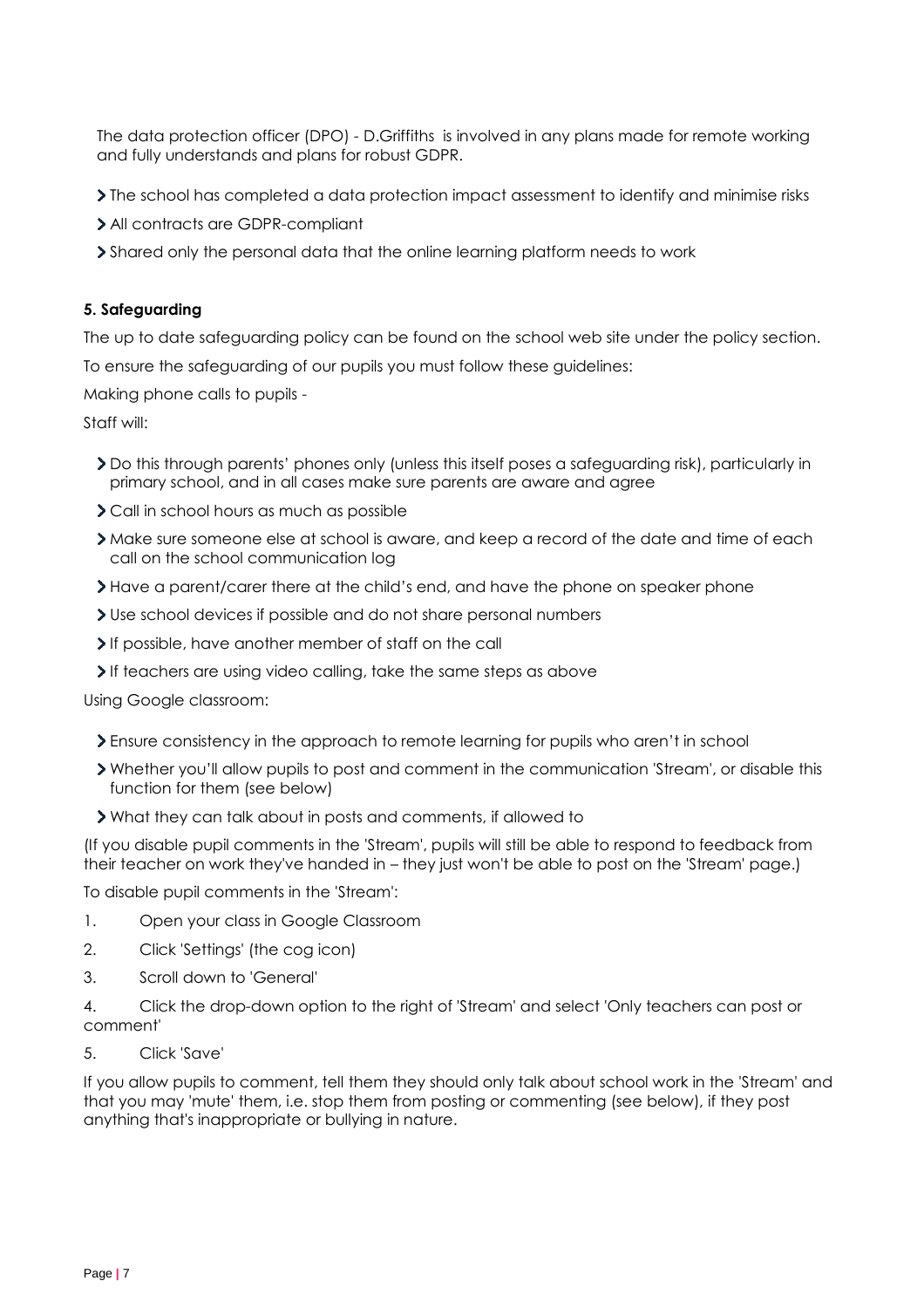The data protection officer (DPO) - D.Griffiths is involved in any plans made for remote working and fully understands and plans for robust GDPR.

The school has completed a data protection impact assessment to identify and minimise risks

- All contracts are GDPR-compliant
- <span id="page-6-0"></span>Shared only the personal data that the online learning platform needs to work

# **5. Safeguarding**

The up to date safeguarding policy can be found on the school web site under the policy section.

To ensure the safeguarding of our pupils you must follow these guidelines:

Making phone calls to pupils -

Staff will:

- Do this through parents' phones only (unless this itself poses a safeguarding risk), particularly in primary school, and in all cases make sure parents are aware and agree
- Call in school hours as much as possible
- Make sure someone else at school is aware, and keep a record of the date and time of each call on the school communication log
- Have a parent/carer there at the child's end, and have the phone on speaker phone
- Use school devices if possible and do not share personal numbers
- If possible, have another member of staff on the call
- If teachers are using video calling, take the same steps as above

Using Google classroom:

- Ensure consistency in the approach to remote learning for pupils who aren't in school
- Whether you'll allow pupils to post and comment in the communication 'Stream', or disable this function for them (see below)
- What they can talk about in posts and comments, if allowed to

(If you disable pupil comments in the 'Stream', pupils will still be able to respond to feedback from their teacher on work they've handed in – they just won't be able to post on the 'Stream' page.)

To disable pupil comments in the 'Stream':

- 1. Open your class in Google Classroom
- 2. Click 'Settings' (the cog icon)
- 3. Scroll down to 'General'
- 4. Click the drop-down option to the right of 'Stream' and select 'Only teachers can post or comment'
- 5. Click 'Save'

If you allow pupils to comment, tell them they should only talk about school work in the 'Stream' and that you may 'mute' them, i.e. stop them from posting or commenting (see below), if they post anything that's inappropriate or bullying in nature.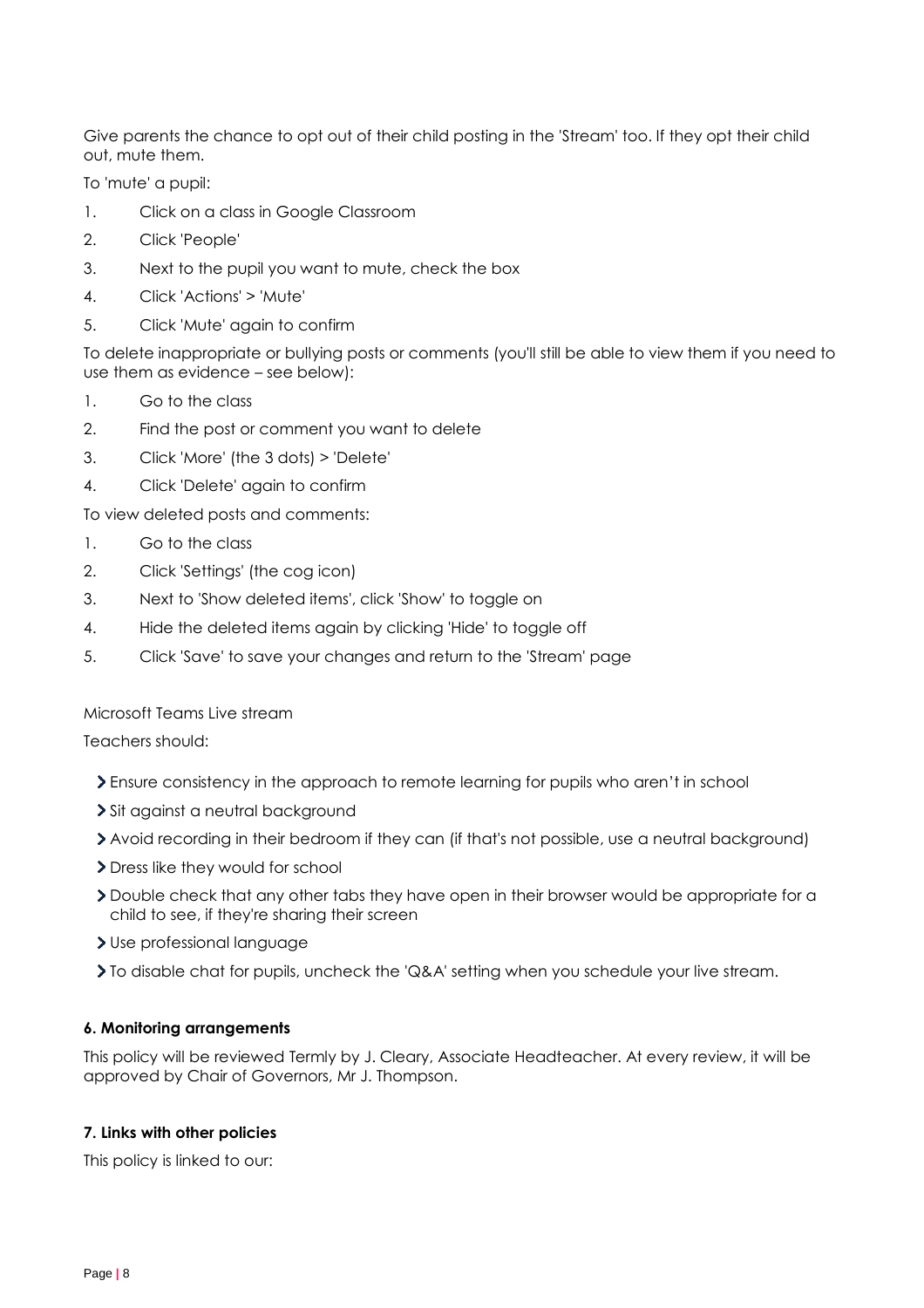Give parents the chance to opt out of their child posting in the 'Stream' too. If they opt their child out, mute them.

To 'mute' a pupil:

- 1. Click on a class in Google Classroom
- 2. Click 'People'
- 3. Next to the pupil you want to mute, check the box
- 4. Click 'Actions' > 'Mute'
- 5. Click 'Mute' again to confirm

To delete inappropriate or bullying posts or comments (you'll still be able to view them if you need to use them as evidence – see below):

- 1. Go to the class
- 2. Find the post or comment you want to delete
- 3. Click 'More' (the 3 dots) > 'Delete'
- 4. Click 'Delete' again to confirm

To view deleted posts and comments:

- 1. Go to the class
- 2. Click 'Settings' (the cog icon)
- 3. Next to 'Show deleted items', click 'Show' to toggle on
- 4. Hide the deleted items again by clicking 'Hide' to toggle off
- 5. Click 'Save' to save your changes and return to the 'Stream' page

### Microsoft Teams Live stream

Teachers should:

- Ensure consistency in the approach to remote learning for pupils who aren't in school
- > Sit against a neutral background
- Avoid recording in their bedroom if they can (if that's not possible, use a neutral background)
- > Dress like they would for school
- Double check that any other tabs they have open in their browser would be appropriate for a child to see, if they're sharing their screen
- Use professional language
- To disable chat for pupils, uncheck the 'Q&A' setting when you schedule your live stream.

### <span id="page-7-0"></span>**6. Monitoring arrangements**

This policy will be reviewed Termly by J. Cleary, Associate Headteacher. At every review, it will be approved by Chair of Governors, Mr J. Thompson.

### <span id="page-7-1"></span>**7. Links with other policies**

This policy is linked to our: